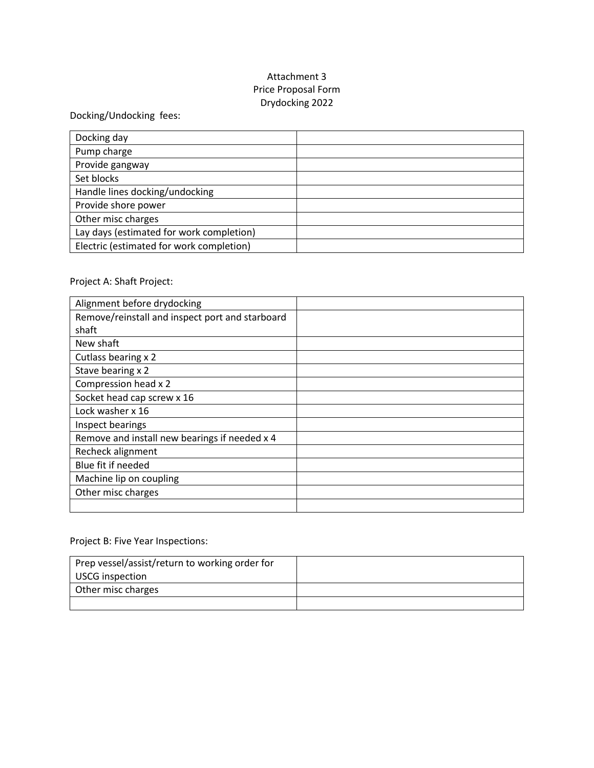## Attachment 3 Price Proposal Form Drydocking 2022

Docking/Undocking fees:

| Docking day                              |  |
|------------------------------------------|--|
| Pump charge                              |  |
| Provide gangway                          |  |
| Set blocks                               |  |
| Handle lines docking/undocking           |  |
| Provide shore power                      |  |
| Other misc charges                       |  |
| Lay days (estimated for work completion) |  |
| Electric (estimated for work completion) |  |

Project A: Shaft Project:

| Alignment before drydocking                     |  |
|-------------------------------------------------|--|
| Remove/reinstall and inspect port and starboard |  |
| shaft                                           |  |
| New shaft                                       |  |
| Cutlass bearing x 2                             |  |
| Stave bearing x 2                               |  |
| Compression head x 2                            |  |
| Socket head cap screw x 16                      |  |
| Lock washer x 16                                |  |
| Inspect bearings                                |  |
| Remove and install new bearings if needed x 4   |  |
| Recheck alignment                               |  |
| Blue fit if needed                              |  |
| Machine lip on coupling                         |  |
| Other misc charges                              |  |
|                                                 |  |

## Project B: Five Year Inspections:

| Prep vessel/assist/return to working order for |  |
|------------------------------------------------|--|
| USCG inspection                                |  |
| Other misc charges                             |  |
|                                                |  |